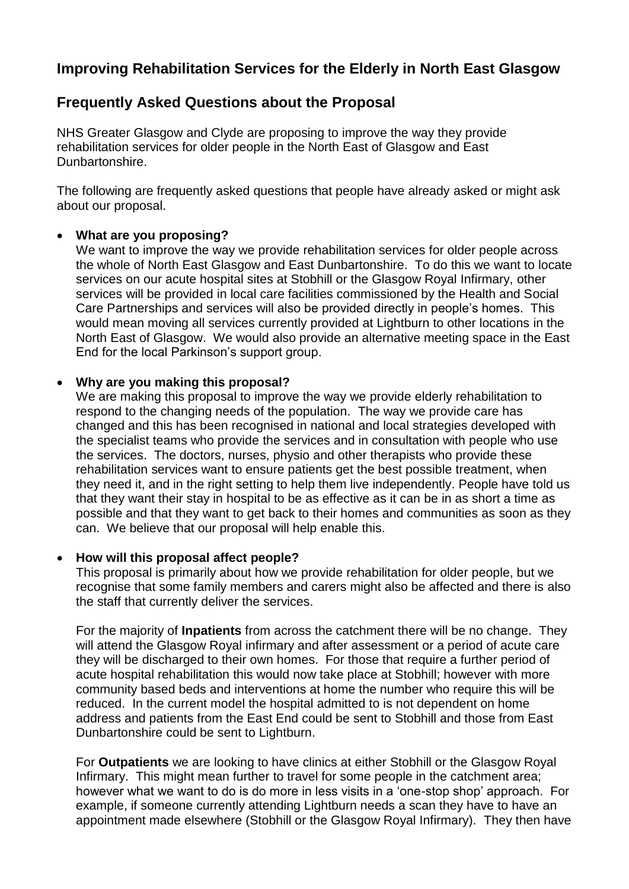# **Improving Rehabilitation Services for the Elderly in North East Glasgow**

## **Frequently Asked Questions about the Proposal**

NHS Greater Glasgow and Clyde are proposing to improve the way they provide rehabilitation services for older people in the North East of Glasgow and East Dunbartonshire.

The following are frequently asked questions that people have already asked or might ask about our proposal.

## **What are you proposing?**

We want to improve the way we provide rehabilitation services for older people across the whole of North East Glasgow and East Dunbartonshire. To do this we want to locate services on our acute hospital sites at Stobhill or the Glasgow Royal Infirmary, other services will be provided in local care facilities commissioned by the Health and Social Care Partnerships and services will also be provided directly in people's homes. This would mean moving all services currently provided at Lightburn to other locations in the North East of Glasgow. We would also provide an alternative meeting space in the East End for the local Parkinson's support group.

## **Why are you making this proposal?**

We are making this proposal to improve the way we provide elderly rehabilitation to respond to the changing needs of the population. The way we provide care has changed and this has been recognised in national and local strategies developed with the specialist teams who provide the services and in consultation with people who use the services. The doctors, nurses, physio and other therapists who provide these rehabilitation services want to ensure patients get the best possible treatment, when they need it, and in the right setting to help them live independently. People have told us that they want their stay in hospital to be as effective as it can be in as short a time as possible and that they want to get back to their homes and communities as soon as they can. We believe that our proposal will help enable this.

## **How will this proposal affect people?**

This proposal is primarily about how we provide rehabilitation for older people, but we recognise that some family members and carers might also be affected and there is also the staff that currently deliver the services.

For the majority of **Inpatients** from across the catchment there will be no change. They will attend the Glasgow Royal infirmary and after assessment or a period of acute care they will be discharged to their own homes. For those that require a further period of acute hospital rehabilitation this would now take place at Stobhill; however with more community based beds and interventions at home the number who require this will be reduced. In the current model the hospital admitted to is not dependent on home address and patients from the East End could be sent to Stobhill and those from East Dunbartonshire could be sent to Lightburn.

For **Outpatients** we are looking to have clinics at either Stobhill or the Glasgow Royal Infirmary. This might mean further to travel for some people in the catchment area; however what we want to do is do more in less visits in a 'one-stop shop' approach. For example, if someone currently attending Lightburn needs a scan they have to have an appointment made elsewhere (Stobhill or the Glasgow Royal Infirmary). They then have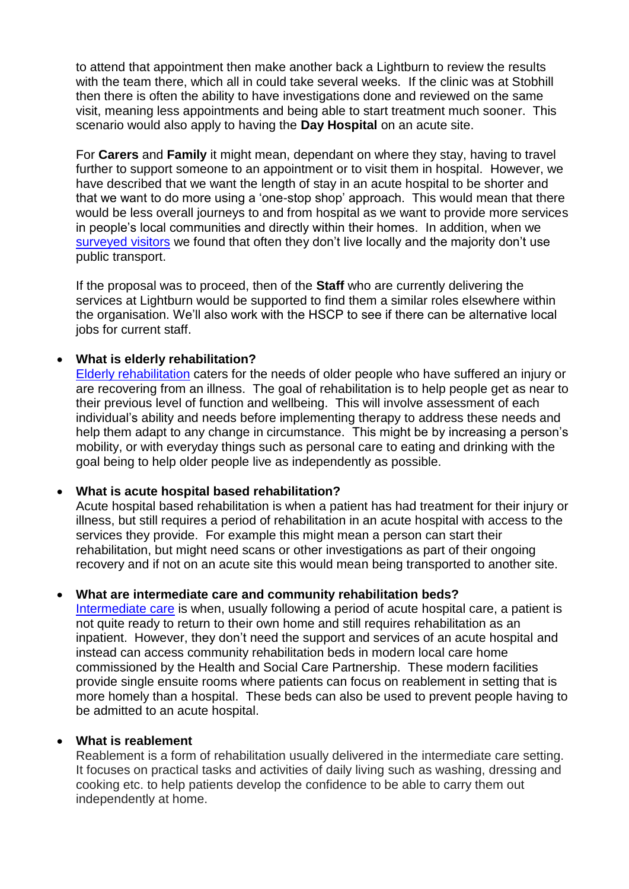to attend that appointment then make another back a Lightburn to review the results with the team there, which all in could take several weeks. If the clinic was at Stobhill then there is often the ability to have investigations done and reviewed on the same visit, meaning less appointments and being able to start treatment much sooner. This scenario would also apply to having the **Day Hospital** on an acute site.

For **Carers** and **Family** it might mean, dependant on where they stay, having to travel further to support someone to an appointment or to visit them in hospital. However, we have described that we want the length of stay in an acute hospital to be shorter and that we want to do more using a 'one-stop shop' approach. This would mean that there would be less overall journeys to and from hospital as we want to provide more services in people's local communities and directly within their homes. In addition, when we [surveyed visitors](http://www.nhsggc.org.uk/media/239781/ne-rehab-public-event-visitor-travel-survey-poster-draft-01-25-oct-2016.pdf) we found that often they don't live locally and the majority don't use public transport.

If the proposal was to proceed, then of the **Staff** who are currently delivering the services at Lightburn would be supported to find them a similar roles elsewhere within the organisation. We'll also work with the HSCP to see if there can be alternative local jobs for current staff.

## **What is elderly rehabilitation?**

[Elderly rehabilitation](https://www.youtube.com/watch?v=4U9nl4pk1xI) caters for the needs of older people who have suffered an injury or are recovering from an illness. The goal of rehabilitation is to help people get as near to their previous level of function and wellbeing. This will involve assessment of each individual's ability and needs before implementing therapy to address these needs and help them adapt to any change in circumstance. This might be by increasing a person's mobility, or with everyday things such as personal care to eating and drinking with the goal being to help older people live as independently as possible.

## **What is acute hospital based rehabilitation?**

Acute hospital based rehabilitation is when a patient has had treatment for their injury or illness, but still requires a period of rehabilitation in an acute hospital with access to the services they provide. For example this might mean a person can start their rehabilitation, but might need scans or other investigations as part of their ongoing recovery and if not on an acute site this would mean being transported to another site.

## **What are intermediate care and community rehabilitation beds?**

[Intermediate care](https://www.youtube.com/watch?v=nIyltXgQ6rw) is when, usually following a period of acute hospital care, a patient is not quite ready to return to their own home and still requires rehabilitation as an inpatient. However, they don't need the support and services of an acute hospital and instead can access community rehabilitation beds in modern local care home commissioned by the Health and Social Care Partnership. These modern facilities provide single ensuite rooms where patients can focus on reablement in setting that is more homely than a hospital. These beds can also be used to prevent people having to be admitted to an acute hospital.

## **What is reablement**

Reablement is a form of rehabilitation usually delivered in the intermediate care setting. It focuses on practical tasks and activities of daily living such as washing, dressing and cooking etc. to help patients develop the confidence to be able to carry them out independently at home.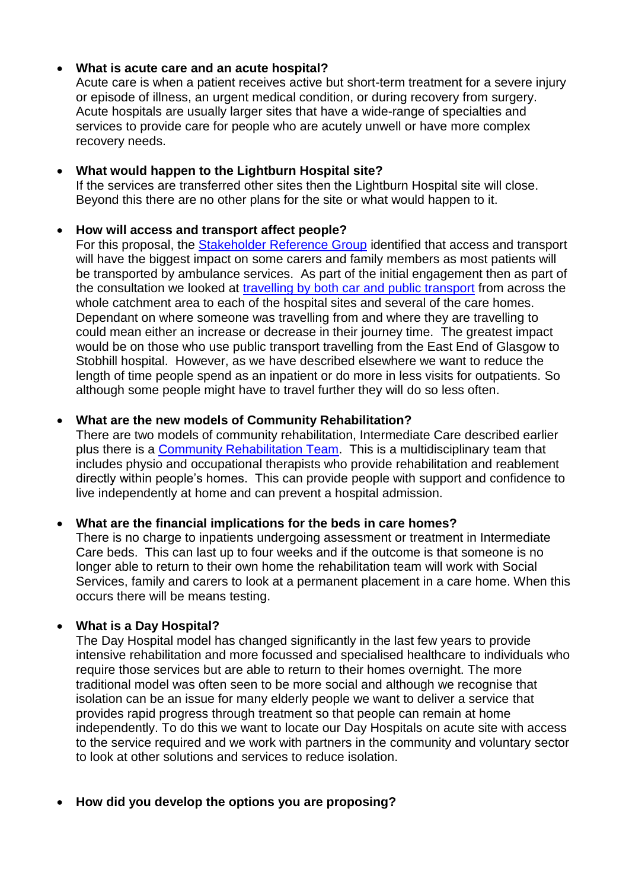## **What is acute care and an acute hospital?**

Acute care is when a patient receives active but short-term treatment for a severe injury or episode of illness, an urgent medical condition, or during recovery from surgery. Acute hospitals are usually larger sites that have a wide-range of specialties and services to provide care for people who are acutely unwell or have more complex recovery needs.

## **What would happen to the Lightburn Hospital site?**

If the services are transferred other sites then the Lightburn Hospital site will close. Beyond this there are no other plans for the site or what would happen to it.

## **How will access and transport affect people?**

For this proposal, the [Stakeholder Reference Group](http://www.nhsggc.org.uk/get-in-touch-get-involved/inform-engage-and-consult/improving-rehabilitation-services-for-the-elderly-in-north-east-glasgow/stakeholder-reference-group/) identified that access and transport will have the biggest impact on some carers and family members as most patients will be transported by ambulance services. As part of the initial engagement then as part of the consultation we looked at [travelling by both car and public transport](http://www.nhsggc.org.uk/media/240939/ne-rehab-services-consultation-travel-comparison-summary-v1-feb-2017.pdf) from across the whole catchment area to each of the hospital sites and several of the care homes. Dependant on where someone was travelling from and where they are travelling to could mean either an increase or decrease in their journey time. The greatest impact would be on those who use public transport travelling from the East End of Glasgow to Stobhill hospital. However, as we have described elsewhere we want to reduce the length of time people spend as an inpatient or do more in less visits for outpatients. So although some people might have to travel further they will do so less often.

## **What are the new models of Community Rehabilitation?**

There are two models of community rehabilitation, Intermediate Care described earlier plus there is a [Community Rehabilitation Team.](https://www.youtube.com/watch?v=VV-PXmZSOu4) This is a multidisciplinary team that includes physio and occupational therapists who provide rehabilitation and reablement directly within people's homes. This can provide people with support and confidence to live independently at home and can prevent a hospital admission.

## **What are the financial implications for the beds in care homes?**

There is no charge to inpatients undergoing assessment or treatment in Intermediate Care beds. This can last up to four weeks and if the outcome is that someone is no longer able to return to their own home the rehabilitation team will work with Social Services, family and carers to look at a permanent placement in a care home. When this occurs there will be means testing.

## **What is a Day Hospital?**

The Day Hospital model has changed significantly in the last few years to provide intensive rehabilitation and more focussed and specialised healthcare to individuals who require those services but are able to return to their homes overnight. The more traditional model was often seen to be more social and although we recognise that isolation can be an issue for many elderly people we want to deliver a service that provides rapid progress through treatment so that people can remain at home independently. To do this we want to locate our Day Hospitals on acute site with access to the service required and we work with partners in the community and voluntary sector to look at other solutions and services to reduce isolation.

## **How did you develop the options you are proposing?**